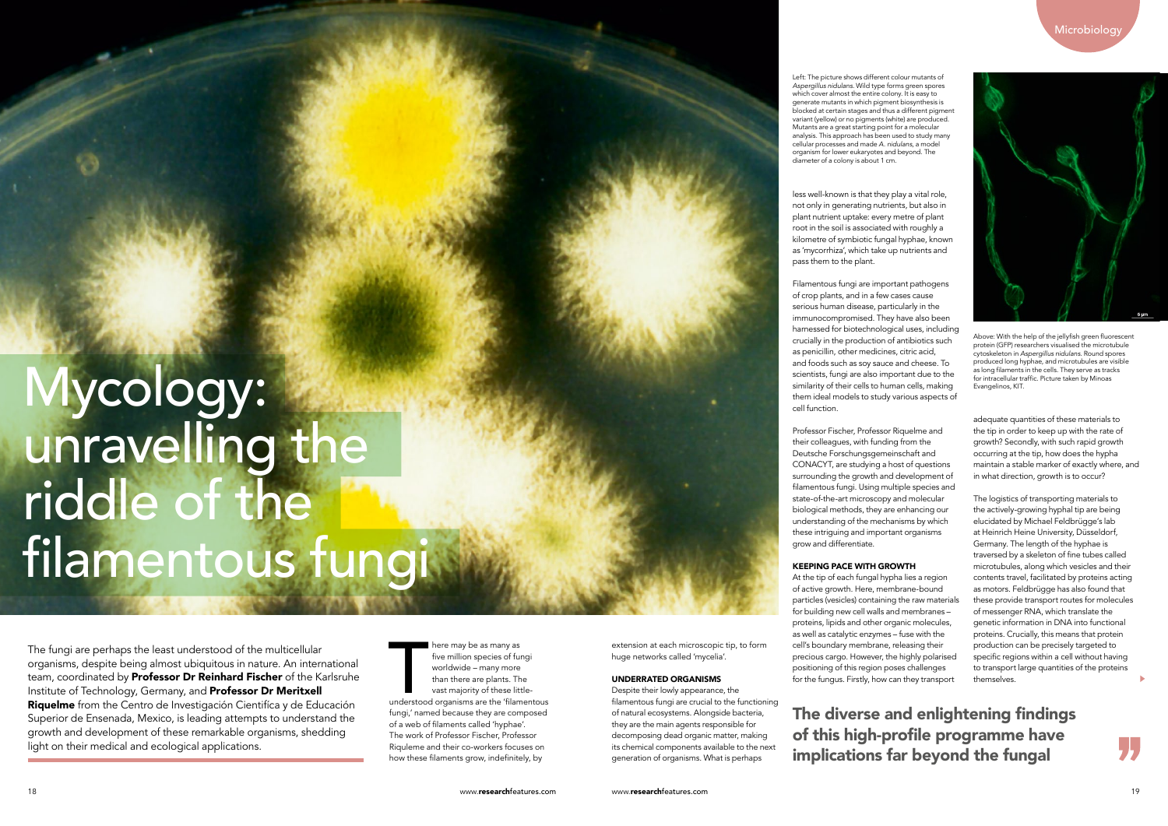The fungi are perhaps the least understood of the multicellular organisms, despite being almost ubiquitous in nature. An international team, coordinated by Professor Dr Reinhard Fischer of the Karlsruhe Institute of Technology, Germany, and Professor Dr Meritxell Riquelme from the Centro de Investigación Cientifíca y de Educación Superior de Ensenada, Mexico, is leading attempts to understand the growth and development of these remarkable organisms, shedding light on their medical and ecological applications.

less well-known is that they play a vital role, not only in generating nutrients, but also in plant nutrient uptake: every metre of plant root in the soil is associated with roughly a kilometre of symbiotic fungal hyphae, known as 'mycorrhiza', which take up nutrients and pass them to the plant.

Filamentous fungi are important pathogens of crop plants, and in a few cases cause serious human disease, particularly in the immunocompromised. They have also been harnessed for biotechnological uses, including crucially in the production of antibiotics such as penicillin, other medicines, citric acid, and foods such as soy sauce and cheese. To scientists, fungi are also important due to the similarity of their cells to human cells, making them ideal models to study various aspects of cell function.

Professor Fischer, Professor Riquelme and their colleagues, with funding from the Deutsche Forschungsgemeinschaft and CONACYT, are studying a host of questions surrounding the growth and development of filamentous fungi. Using multiple species and state-of-the-art microscopy and molecular biological methods, they are enhancing our understanding of the mechanisms by which these intriguing and important organisms grow and differentiate.

#### KEEPING PACE WITH GROWTH

At the tip of each fungal hypha lies a region of active growth. Here, membrane-bound particles (vesicles) containing the raw materials for building new cell walls and membranes – proteins, lipids and other organic molecules, as well as catalytic enzymes – fuse with the cell's boundary membrane, releasing their precious cargo. However, the highly polarised positioning of this region poses challenges for the fungus. Firstly, how can they transport

There may be as many as<br>five million species of fungi<br>worldwide – many more<br>than there are plants. The<br>vast majority of these little-<br>understood organisms are the 'filamentous ere may be as many as five million species of fungi worldwide – many more than there are plants. The vast majority of these littlefungi,' named because they are composed of a web of filaments called 'hyphae'. The work of Professor Fischer, Professor Riquleme and their co-workers focuses on how these filaments grow, indefinitely, by

# Microbiology



adequate quantities of these materials to the tip in order to keep up with the rate of growth? Secondly, with such rapid growth occurring at the tip, how does the hypha maintain a stable marker of exactly where, and in what direction, growth is to occur?

The logistics of transporting materials to the actively-growing hyphal tip are being elucidated by Michael Feldbrügge's lab at Heinrich Heine University, Düsseldorf, Germany. The length of the hyphae is traversed by a skeleton of fine tubes called microtubules, along which vesicles and their contents travel, facilitated by proteins acting as motors. Feldbrügge has also found that these provide transport routes for molecules of messenger RNA, which translate the genetic information in DNA into functional proteins. Crucially, this means that protein production can be precisely targeted to specific regions within a cell without having to transport large quantities of the proteins themselves.

The diverse and enlightening findings of this high-profile programme have implications far beyond the fungal

Above: With the help of the jellyfish green fluorescent protein (GFP) researchers visualised the microtubule cytoskeleton in *Aspergillus nidulans*. Round spores produced long hyphae, and microtubules are visible as long filaments in the cells. They serve as tracks for intracellular traffic. Picture taken by Minoas Evangelinos, KIT.

extension at each microscopic tip, to form huge networks called 'mycelia'.

#### UNDERRATED ORGANISMS

Despite their lowly appearance, the filamentous fungi are crucial to the functioning of natural ecosystems. Alongside bacteria, they are the main agents responsible for decomposing dead organic matter, making its chemical components available to the next generation of organisms. What is perhaps

Mycology: unravelling the riddle of the filamentous fungi

Left: The picture shows different colour mutants of *Aspergillus nidulans*. Wild type forms green spores which cover almost the entire colony. It is easy to generate mutants in which pigment biosynthesis is **blocked at certain stages and thus a different pigment** variant (yellow) or no pigments (white) are produced. Mutants are a great starting point for a molecular analysis. This approach has been used to study many cellular processes and made *A. nidulans,* a model organism for lower eukaryotes and beyond. The diameter of a colony is about 1 cm.